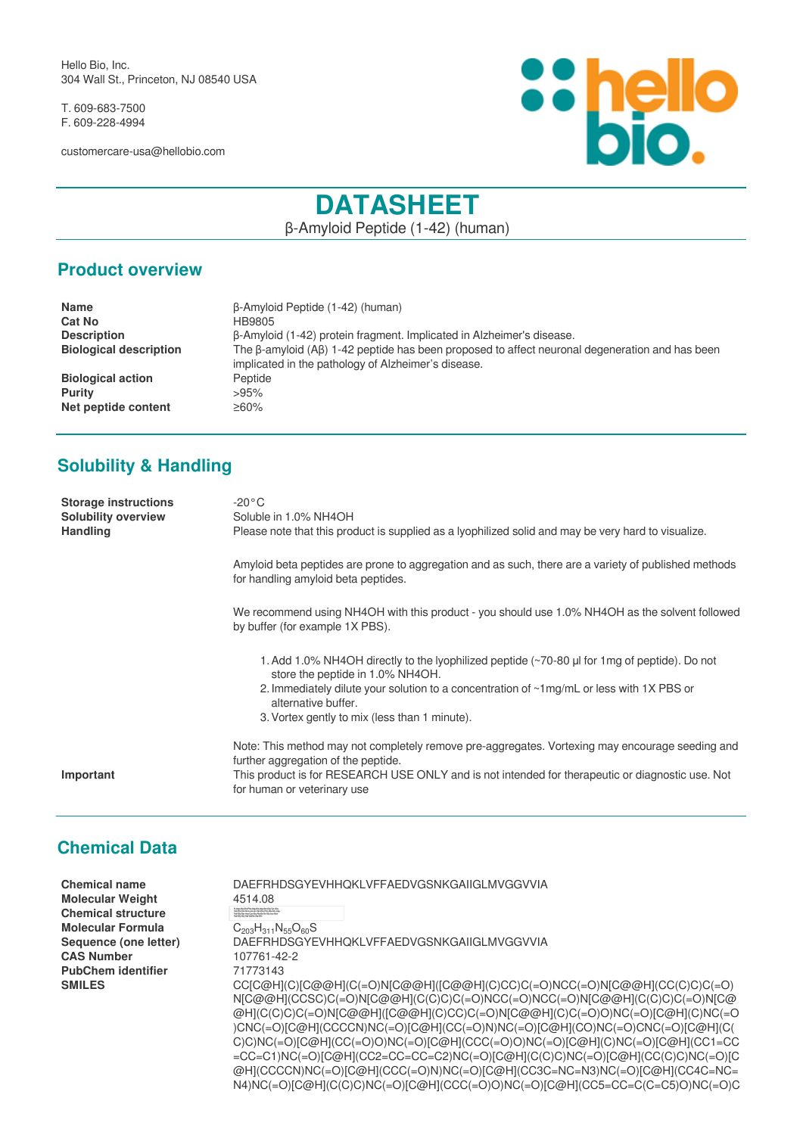Hello Bio, Inc. 304 Wall St., Princeton, NJ 08540 USA

T. 609-683-7500 F. 609-228-4994

customercare-usa@hellobio.com



# **DATASHEET**

β-Amyloid Peptide (1-42) (human)

#### **Product overview**

| <b>Name</b>                   | B-Amyloid Peptide (1-42) (human)                                                                                                                      |
|-------------------------------|-------------------------------------------------------------------------------------------------------------------------------------------------------|
| <b>Cat No</b>                 | HB9805                                                                                                                                                |
| <b>Description</b>            | β-Amyloid (1-42) protein fragment. Implicated in Alzheimer's disease.                                                                                 |
| <b>Biological description</b> | The B-amyloid (AB) 1-42 peptide has been proposed to affect neuronal degeneration and has been<br>implicated in the pathology of Alzheimer's disease. |
| <b>Biological action</b>      | Peptide                                                                                                                                               |
| <b>Purity</b>                 | >95%                                                                                                                                                  |
| Net peptide content           | $≥60\%$                                                                                                                                               |

## **Solubility & Handling**

| <b>Storage instructions</b><br><b>Solubility overview</b><br><b>Handling</b> | $-20\degree$ C<br>Soluble in 1.0% NH4OH<br>Please note that this product is supplied as a lyophilized solid and may be very hard to visualize.                                                                                                                                                       |
|------------------------------------------------------------------------------|------------------------------------------------------------------------------------------------------------------------------------------------------------------------------------------------------------------------------------------------------------------------------------------------------|
|                                                                              | Amyloid beta peptides are prone to aggregation and as such, there are a variety of published methods<br>for handling amyloid beta peptides.                                                                                                                                                          |
|                                                                              | We recommend using NH4OH with this product - you should use 1.0% NH4OH as the solvent followed<br>by buffer (for example 1X PBS).                                                                                                                                                                    |
|                                                                              | 1. Add 1.0% NH4OH directly to the lyophilized peptide (~70-80 µl for 1mg of peptide). Do not<br>store the peptide in 1.0% NH4OH.<br>2. Immediately dilute your solution to a concentration of ~1mg/mL or less with 1X PBS or<br>alternative buffer.<br>3. Vortex gently to mix (less than 1 minute). |
| Important                                                                    | Note: This method may not completely remove pre-aggregates. Vortexing may encourage seeding and<br>further aggregation of the peptide.<br>This product is for RESEARCH USE ONLY and is not intended for therapeutic or diagnostic use. Not<br>for human or veterinary use                            |

#### **Chemical Data**

| <b>Chemical name</b>      | DAEFRHDSGYEVHHOKLVFFAEDVGSNKGAIIGLMVGGVVIA                                                                                                                                               |
|---------------------------|------------------------------------------------------------------------------------------------------------------------------------------------------------------------------------------|
| <b>Molecular Weight</b>   | 4514.08                                                                                                                                                                                  |
| <b>Chemical structure</b> | 15 App Als Gla-Phe Arg-His App Sec Gly Tys Gla<br>Yal Ris His Clini, ps Leo Val Phe Phe Als Gla Ang-<br>Yal Gla-Pan Am Lys Clip Als In Sec Cly Leo Met<br>Yal Gla-Div Yal Val De Als Cli |
| <b>Molecular Formula</b>  | $C_{203}H_{311}N_{55}O_{60}S$                                                                                                                                                            |
| Sequence (one letter)     | DAEFRHDSGYEVHHOKLVFFAEDVGSNKGAIIGLMVGGVVIA                                                                                                                                               |
| <b>CAS Number</b>         | 107761-42-2                                                                                                                                                                              |
| <b>PubChem identifier</b> | 71773143                                                                                                                                                                                 |
| <b>SMILES</b>             | CC[C@H](C)[C@@H](C(=O)N[C@@H]([C@@H](C)CC)C(=O)NCC(=O)N[C@@H](CC(C)C)C(=O)                                                                                                               |
|                           | N[C@@H](CCSC)C(=O)N[C@@H](C(C)C)C(=O)NCC(=O)NCC(=O)N[C@@H](C(C)C)C(=O)N[C@                                                                                                               |
|                           | @H](C(C)C)C(=O)N[C@@H]([C@@H](C)CC)C(=O)N[C@@H](C)C(=O)O)NC(=O)[C@H](C)NC(=O                                                                                                             |
|                           | )CNC(=O)[C@H](CCCCN)NC(=O)[C@H](CC(=O)N)NC(=O)[C@H](CO)NC(=O)CNC(=O)[C@H](C(                                                                                                             |
|                           | C)C)NC(=O)[C@H](CC(=O)O)NC(=O)[C@H](CCC(=O)O)NC(=O)[C@H](C)NC(=O)[C@H](CC1=CC                                                                                                            |
|                           | =CC=C1)NC(=O)[C@H](CC2=CC=CC=C2)NC(=O)[C@H](C(C)C)NC(=O)[C@H](CC(C)C)NC(=O)[C                                                                                                            |
|                           | @H](CCCCN)NC(=O)[C@H](CCC(=O)N)NC(=O)[C@H](CC3C=NC=N3)NC(=O)[C@H](CC4C=NC=                                                                                                               |

N4)NC(=O)[C@H](C(C)C)NC(=O)[C@H](CCC(=O)O)NC(=O)[C@H](CC5=CC=C(C=C5)O)NC(=O)C